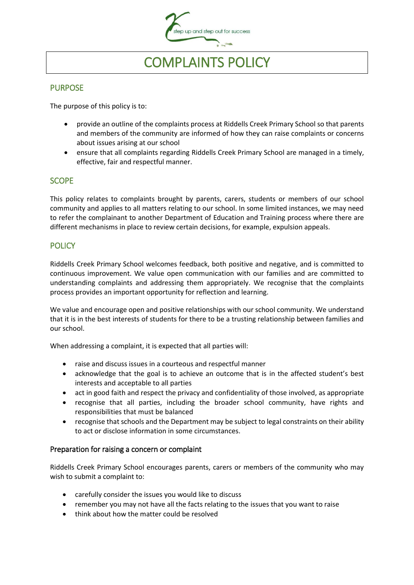

# COMPLAINTS POLICY

#### **PURPOSE**

The purpose of this policy is to:

- provide an outline of the complaints process at Riddells Creek Primary School so that parents and members of the community are informed of how they can raise complaints or concerns about issues arising at our school
- ensure that all complaints regarding Riddells Creek Primary School are managed in a timely, effective, fair and respectful manner.

### **SCOPE**

This policy relates to complaints brought by parents, carers, students or members of our school community and applies to all matters relating to our school. In some limited instances, we may need to refer the complainant to another Department of Education and Training process where there are different mechanisms in place to review certain decisions, for example, expulsion appeals.

# **POLICY**

Riddells Creek Primary School welcomes feedback, both positive and negative, and is committed to continuous improvement. We value open communication with our families and are committed to understanding complaints and addressing them appropriately. We recognise that the complaints process provides an important opportunity for reflection and learning.

We value and encourage open and positive relationships with our school community. We understand that it is in the best interests of students for there to be a trusting relationship between families and our school.

When addressing a complaint, it is expected that all parties will:

- raise and discuss issues in a courteous and respectful manner
- acknowledge that the goal is to achieve an outcome that is in the affected student's best interests and acceptable to all parties
- act in good faith and respect the privacy and confidentiality of those involved, as appropriate
- recognise that all parties, including the broader school community, have rights and responsibilities that must be balanced
- recognise that schools and the Department may be subject to legal constraints on their ability to act or disclose information in some circumstances.

#### Preparation for raising a concern or complaint

Riddells Creek Primary School encourages parents, carers or members of the community who may wish to submit a complaint to:

- carefully consider the issues you would like to discuss
- remember you may not have all the facts relating to the issues that you want to raise
- think about how the matter could be resolved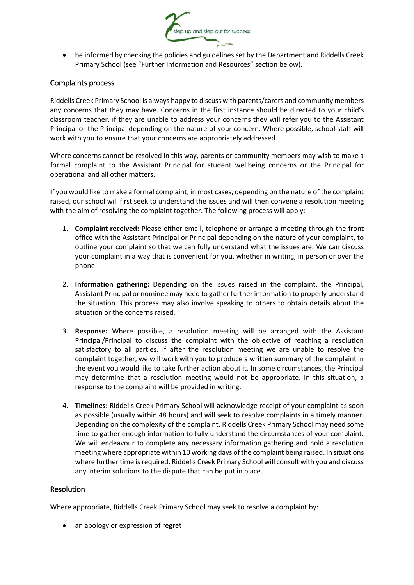

 be informed by checking the policies and guidelines set by the Department and Riddells Creek Primary School (see "Further Information and Resources" section below).

#### Complaints process

Riddells Creek Primary School is always happy to discuss with parents/carers and community members any concerns that they may have. Concerns in the first instance should be directed to your child's classroom teacher, if they are unable to address your concerns they will refer you to the Assistant Principal or the Principal depending on the nature of your concern. Where possible, school staff will work with you to ensure that your concerns are appropriately addressed.

Where concerns cannot be resolved in this way, parents or community members may wish to make a formal complaint to the Assistant Principal for student wellbeing concerns or the Principal for operational and all other matters.

If you would like to make a formal complaint, in most cases, depending on the nature of the complaint raised, our school will first seek to understand the issues and will then convene a resolution meeting with the aim of resolving the complaint together. The following process will apply:

- 1. **Complaint received:** Please either email, telephone or arrange a meeting through the front office with the Assistant Principal or Principal depending on the nature of your complaint, to outline your complaint so that we can fully understand what the issues are. We can discuss your complaint in a way that is convenient for you, whether in writing, in person or over the phone.
- 2. **Information gathering:** Depending on the issues raised in the complaint, the Principal, Assistant Principal or nominee may need to gather further information to properly understand the situation. This process may also involve speaking to others to obtain details about the situation or the concerns raised.
- 3. **Response:** Where possible, a resolution meeting will be arranged with the Assistant Principal/Principal to discuss the complaint with the objective of reaching a resolution satisfactory to all parties. If after the resolution meeting we are unable to resolve the complaint together, we will work with you to produce a written summary of the complaint in the event you would like to take further action about it. In some circumstances, the Principal may determine that a resolution meeting would not be appropriate. In this situation, a response to the complaint will be provided in writing.
- 4. **Timelines:** Riddells Creek Primary School will acknowledge receipt of your complaint as soon as possible (usually within 48 hours) and will seek to resolve complaints in a timely manner. Depending on the complexity of the complaint, Riddells Creek Primary School may need some time to gather enough information to fully understand the circumstances of your complaint. We will endeavour to complete any necessary information gathering and hold a resolution meeting where appropriate within 10 working days of the complaint being raised. In situations where further time is required, Riddells Creek Primary School will consult with you and discuss any interim solutions to the dispute that can be put in place.

#### Resolution

Where appropriate, Riddells Creek Primary School may seek to resolve a complaint by:

• an apology or expression of regret